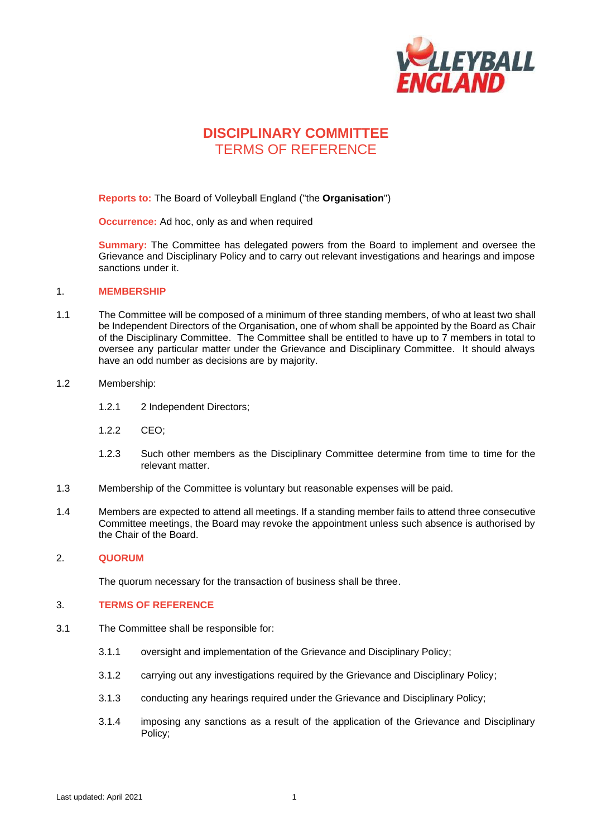

# **DISCIPLINARY COMMITTEE** TERMS OF REFERENCE

**Reports to:** The Board of Volleyball England ("the **Organisation**")

**Occurrence:** Ad hoc, only as and when required

**Summary:** The Committee has delegated powers from the Board to implement and oversee the Grievance and Disciplinary Policy and to carry out relevant investigations and hearings and impose sanctions under it.

### 1. **MEMBERSHIP**

1.1 The Committee will be composed of a minimum of three standing members, of who at least two shall be Independent Directors of the Organisation, one of whom shall be appointed by the Board as Chair of the Disciplinary Committee. The Committee shall be entitled to have up to 7 members in total to oversee any particular matter under the Grievance and Disciplinary Committee. It should always have an odd number as decisions are by majority.

#### 1.2 Membership:

- 1.2.1 2 Independent Directors;
- 1.2.2 CEO;
- 1.2.3 Such other members as the Disciplinary Committee determine from time to time for the relevant matter.
- 1.3 Membership of the Committee is voluntary but reasonable expenses will be paid.
- 1.4 Members are expected to attend all meetings. If a standing member fails to attend three consecutive Committee meetings, the Board may revoke the appointment unless such absence is authorised by the Chair of the Board.

#### 2. **QUORUM**

The quorum necessary for the transaction of business shall be three.

## 3. **TERMS OF REFERENCE**

- 3.1 The Committee shall be responsible for:
	- 3.1.1 oversight and implementation of the Grievance and Disciplinary Policy;
	- 3.1.2 carrying out any investigations required by the Grievance and Disciplinary Policy;
	- 3.1.3 conducting any hearings required under the Grievance and Disciplinary Policy;
	- 3.1.4 imposing any sanctions as a result of the application of the Grievance and Disciplinary Policy;